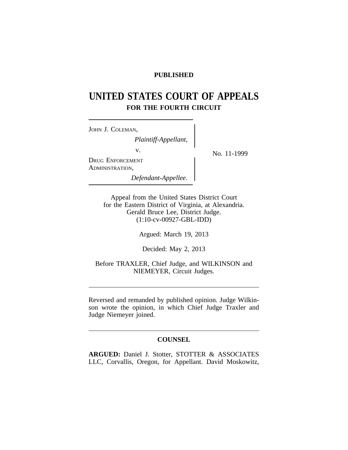# **PUBLISHED**

# **UNITED STATES COURT OF APPEALS FOR THE FOURTH CIRCUIT**

| JOHN J. COLEMAN,        |  |
|-------------------------|--|
| Plaintiff-Appellant,    |  |
| V.                      |  |
| <b>DRUG ENFORCEMENT</b> |  |
| ADMINISTRATION,         |  |
| Defendant-Appellee.     |  |

No. 11-1999

Appeal from the United States District Court for the Eastern District of Virginia, at Alexandria. Gerald Bruce Lee, District Judge. (1:10-cv-00927-GBL-IDD)

Argued: March 19, 2013

Decided: May 2, 2013

Before TRAXLER, Chief Judge, and WILKINSON and NIEMEYER, Circuit Judges.

Reversed and remanded by published opinion. Judge Wilkinson wrote the opinion, in which Chief Judge Traxler and Judge Niemeyer joined.

## **COUNSEL**

**ARGUED:** Daniel J. Stotter, STOTTER & ASSOCIATES LLC, Corvallis, Oregon, for Appellant. David Moskowitz,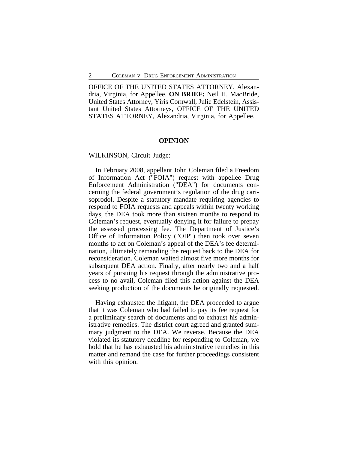OFFICE OF THE UNITED STATES ATTORNEY, Alexandria, Virginia, for Appellee. **ON BRIEF:** Neil H. MacBride, United States Attorney, Yiris Cornwall, Julie Edelstein, Assistant United States Attorneys, OFFICE OF THE UNITED STATES ATTORNEY, Alexandria, Virginia, for Appellee.

### **OPINION**

#### WILKINSON, Circuit Judge:

In February 2008, appellant John Coleman filed a Freedom of Information Act ("FOIA") request with appellee Drug Enforcement Administration ("DEA") for documents concerning the federal government's regulation of the drug carisoprodol. Despite a statutory mandate requiring agencies to respond to FOIA requests and appeals within twenty working days, the DEA took more than sixteen months to respond to Coleman's request, eventually denying it for failure to prepay the assessed processing fee. The Department of Justice's Office of Information Policy ("OIP") then took over seven months to act on Coleman's appeal of the DEA's fee determination, ultimately remanding the request back to the DEA for reconsideration. Coleman waited almost five more months for subsequent DEA action. Finally, after nearly two and a half years of pursuing his request through the administrative process to no avail, Coleman filed this action against the DEA seeking production of the documents he originally requested.

Having exhausted the litigant, the DEA proceeded to argue that it was Coleman who had failed to pay its fee request for a preliminary search of documents and to exhaust his administrative remedies. The district court agreed and granted summary judgment to the DEA. We reverse. Because the DEA violated its statutory deadline for responding to Coleman, we hold that he has exhausted his administrative remedies in this matter and remand the case for further proceedings consistent with this opinion.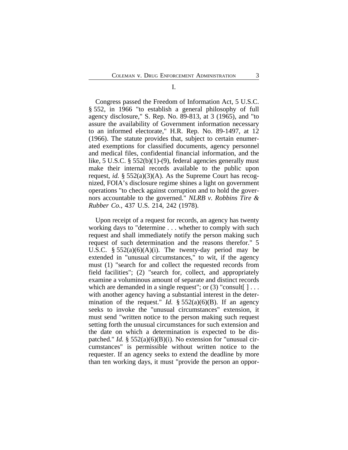Congress passed the Freedom of Information Act, 5 U.S.C. § 552, in 1966 "to establish a general philosophy of full agency disclosure," S. Rep. No. 89-813, at 3 (1965), and "to assure the availability of Government information necessary to an informed electorate," H.R. Rep. No. 89-1497, at 12 (1966). The statute provides that, subject to certain enumerated exemptions for classified documents, agency personnel and medical files, confidential financial information, and the like, 5 U.S.C. § 552(b)(1)-(9), federal agencies generally must make their internal records available to the public upon request, *id.* § 552(a)(3)(A). As the Supreme Court has recognized, FOIA's disclosure regime shines a light on government operations "to check against corruption and to hold the governors accountable to the governed." *NLRB v. Robbins Tire & Rubber Co.*, 437 U.S. 214, 242 (1978).

Upon receipt of a request for records, an agency has twenty working days to "determine . . . whether to comply with such request and shall immediately notify the person making such request of such determination and the reasons therefor." 5 U.S.C.  $§ 552(a)(6)(A)(i)$ . The twenty-day period may be extended in "unusual circumstances," to wit, if the agency must (1) "search for and collect the requested records from field facilities"; (2) "search for, collect, and appropriately examine a voluminous amount of separate and distinct records which are demanded in a single request"; or  $(3)$  "consult[ ] ... with another agency having a substantial interest in the determination of the request." *Id.*  $\frac{6}{5}$  552(a)(6)(B). If an agency seeks to invoke the "unusual circumstances" extension, it must send "written notice to the person making such request setting forth the unusual circumstances for such extension and the date on which a determination is expected to be dispatched." *Id.* § 552(a)(6)(B)(i). No extension for "unusual circumstances" is permissible without written notice to the requester. If an agency seeks to extend the deadline by more than ten working days, it must "provide the person an oppor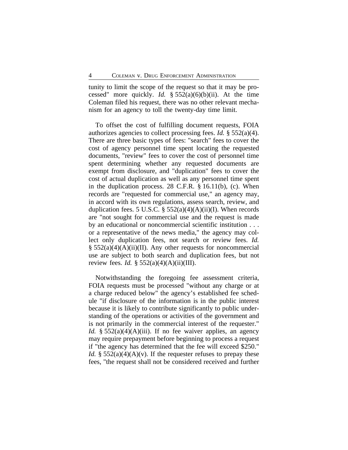tunity to limit the scope of the request so that it may be processed" more quickly. *Id.*  $\S 552(a)(6)(b)(ii)$ . At the time Coleman filed his request, there was no other relevant mechanism for an agency to toll the twenty-day time limit.

To offset the cost of fulfilling document requests, FOIA authorizes agencies to collect processing fees. *Id.* § 552(a)(4). There are three basic types of fees: "search" fees to cover the cost of agency personnel time spent locating the requested documents, "review" fees to cover the cost of personnel time spent determining whether any requested documents are exempt from disclosure, and "duplication" fees to cover the cost of actual duplication as well as any personnel time spent in the duplication process. 28 C.F.R. § 16.11(b), (c). When records are "requested for commercial use," an agency may, in accord with its own regulations, assess search, review, and duplication fees. 5 U.S.C. §  $552(a)(4)(A)(ii)(I)$ . When records are "not sought for commercial use and the request is made by an educational or noncommercial scientific institution . . . or a representative of the news media," the agency may collect only duplication fees, not search or review fees. *Id.*  $\S$  552(a)(4)(A)(ii)(II). Any other requests for noncommercial use are subject to both search and duplication fees, but not review fees. *Id.* § 552(a)(4)(A)(ii)(III).

Notwithstanding the foregoing fee assessment criteria, FOIA requests must be processed "without any charge or at a charge reduced below" the agency's established fee schedule "if disclosure of the information is in the public interest because it is likely to contribute significantly to public understanding of the operations or activities of the government and is not primarily in the commercial interest of the requester." *Id.* §  $552(a)(4)(A)(iii)$ . If no fee waiver applies, an agency may require prepayment before beginning to process a request if "the agency has determined that the fee will exceed \$250." *Id.* § 552(a)(4)(A)(v). If the requester refuses to prepay these fees, "the request shall not be considered received and further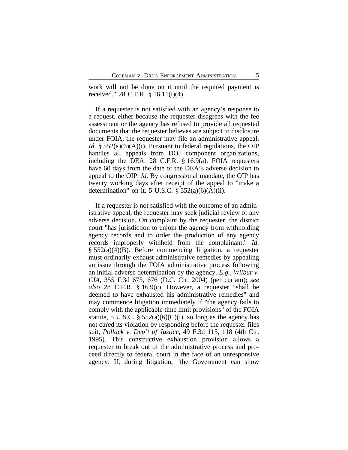work will not be done on it until the required payment is received." 28 C.F.R. § 16.11(i)(4).

If a requester is not satisfied with an agency's response to a request, either because the requester disagrees with the fee assessment or the agency has refused to provide all requested documents that the requester believes are subject to disclosure under FOIA, the requester may file an administrative appeal. *Id.* § 552(a)(6)(A)(i). Pursuant to federal regulations, the OIP handles all appeals from DOJ component organizations, including the DEA. 28 C.F.R. § 16.9(a). FOIA requesters have 60 days from the date of the DEA's adverse decision to appeal to the OIP. *Id.* By congressional mandate, the OIP has twenty working days after receipt of the appeal to "make a determination" on it. 5 U.S.C.  $\S$  552(a)(6)(A)(ii).

If a requester is not satisfied with the outcome of an administrative appeal, the requester may seek judicial review of any adverse decision. On complaint by the requester, the district court "has jurisdiction to enjoin the agency from withholding agency records and to order the production of any agency records improperly withheld from the complainant." *Id.* § 552(a)(4)(B). Before commencing litigation, a requester must ordinarily exhaust administrative remedies by appealing an issue through the FOIA administrative process following an initial adverse determination by the agency. *E.g.*, *Wilbur v. CIA*, 355 F.3d 675, 676 (D.C. Cir. 2004) (per curiam); *see also* 28 C.F.R. § 16.9(c). However, a requester "shall be deemed to have exhausted his administrative remedies" and may commence litigation immediately if "the agency fails to comply with the applicable time limit provisions" of the FOIA statute, 5 U.S.C. §  $552(a)(6)(C)(i)$ , so long as the agency has not cured its violation by responding before the requester files suit, *Pollack v. Dep't of Justice*, 49 F.3d 115, 118 (4th Cir. 1995). This constructive exhaustion provision allows a requester to break out of the administrative process and proceed directly to federal court in the face of an unresponsive agency. If, during litigation, "the Government can show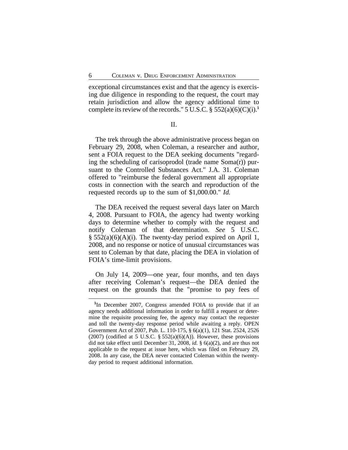exceptional circumstances exist and that the agency is exercising due diligence in responding to the request, the court may retain jurisdiction and allow the agency additional time to complete its review of the records."  $5 \text{ U.S.C.} \$  $552(a)(6)(C)(i).$ <sup>1</sup>

#### II.

The trek through the above administrative process began on February 29, 2008, when Coleman, a researcher and author, sent a FOIA request to the DEA seeking documents "regarding the scheduling of carisoprodol (trade name Soma(r)) pursuant to the Controlled Substances Act." J.A. 31. Coleman offered to "reimburse the federal government all appropriate costs in connection with the search and reproduction of the requested records up to the sum of \$1,000.00." *Id.*

The DEA received the request several days later on March 4, 2008. Pursuant to FOIA, the agency had twenty working days to determine whether to comply with the request and notify Coleman of that determination. *See* 5 U.S.C. § 552(a)(6)(A)(i). The twenty-day period expired on April 1, 2008, and no response or notice of unusual circumstances was sent to Coleman by that date, placing the DEA in violation of FOIA's time-limit provisions.

On July 14, 2009—one year, four months, and ten days after receiving Coleman's request—the DEA denied the request on the grounds that the "promise to pay fees of

<sup>&</sup>lt;sup>1</sup>In December 2007, Congress amended FOIA to provide that if an agency needs additional information in order to fulfill a request or determine the requisite processing fee, the agency may contact the requester and toll the twenty-day response period while awaiting a reply. OPEN Government Act of 2007, Pub. L. 110-175, § 6(a)(1), 121 Stat. 2524, 2526 (2007) (codified at 5 U.S.C.  $\S$  552(a)(6)(A)). However, these provisions did not take effect until December 31, 2008, *id.* § 6(a)(2), and are thus not applicable to the request at issue here, which was filed on February 29, 2008. In any case, the DEA never contacted Coleman within the twentyday period to request additional information.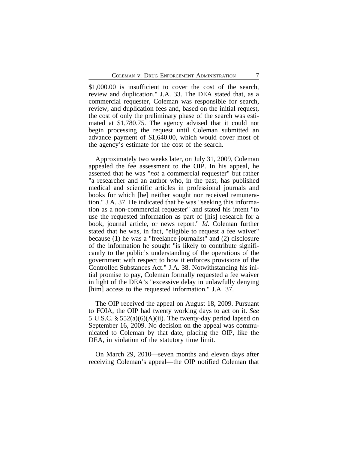\$1,000.00 is insufficient to cover the cost of the search, review and duplication." J.A. 33. The DEA stated that, as a commercial requester, Coleman was responsible for search, review, and duplication fees and, based on the initial request, the cost of only the preliminary phase of the search was estimated at \$1,780.75. The agency advised that it could not begin processing the request until Coleman submitted an advance payment of \$1,640.00, which would cover most of the agency's estimate for the cost of the search.

Approximately two weeks later, on July 31, 2009, Coleman appealed the fee assessment to the OIP. In his appeal, he asserted that he was "*not* a commercial requester" but rather "a researcher and an author who, in the past, has published medical and scientific articles in professional journals and books for which [he] neither sought nor received remuneration." J.A. 37. He indicated that he was "seeking this information as a non-commercial requester" and stated his intent "to use the requested information as part of [his] research for a book, journal article, or news report." *Id.* Coleman further stated that he was, in fact, "eligible to request a fee waiver" because (1) he was a "freelance journalist" and (2) disclosure of the information he sought "is likely to contribute significantly to the public's understanding of the operations of the government with respect to how it enforces provisions of the Controlled Substances Act." J.A. 38. Notwithstanding his initial promise to pay, Coleman formally requested a fee waiver in light of the DEA's "excessive delay in unlawfully denying [him] access to the requested information." J.A. 37.

The OIP received the appeal on August 18, 2009. Pursuant to FOIA, the OIP had twenty working days to act on it. *See* 5 U.S.C. § 552(a)(6)(A)(ii). The twenty-day period lapsed on September 16, 2009. No decision on the appeal was communicated to Coleman by that date, placing the OIP, like the DEA, in violation of the statutory time limit.

On March 29, 2010—seven months and eleven days after receiving Coleman's appeal—the OIP notified Coleman that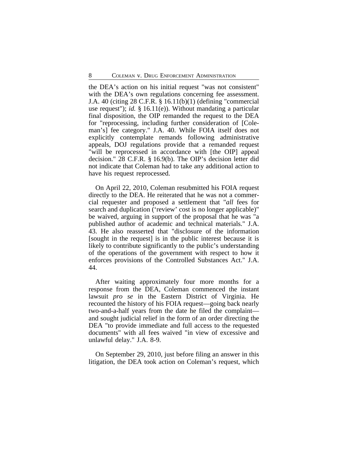the DEA's action on his initial request "was not consistent" with the DEA's own regulations concerning fee assessment. J.A. 40 (citing 28 C.F.R. § 16.11(b)(1) (defining "commercial use request"); *id.* § 16.11(e)). Without mandating a particular final disposition, the OIP remanded the request to the DEA for "reprocessing, including further consideration of [Coleman's] fee category." J.A. 40. While FOIA itself does not explicitly contemplate remands following administrative appeals, DOJ regulations provide that a remanded request "will be reprocessed in accordance with [the OIP] appeal decision." 28 C.F.R. § 16.9(b). The OIP's decision letter did not indicate that Coleman had to take any additional action to have his request reprocessed.

On April 22, 2010, Coleman resubmitted his FOIA request directly to the DEA. He reiterated that he was not a commercial requester and proposed a settlement that "*all* fees for search and duplication ('review' cost is no longer applicable)" be waived, arguing in support of the proposal that he was "a published author of academic and technical materials." J.A. 43. He also reasserted that "disclosure of the information [sought in the request] is in the public interest because it is likely to contribute significantly to the public's understanding of the operations of the government with respect to how it enforces provisions of the Controlled Substances Act." J.A. 44.

After waiting approximately four more months for a response from the DEA, Coleman commenced the instant lawsuit *pro se* in the Eastern District of Virginia. He recounted the history of his FOIA request—going back nearly two-and-a-half years from the date he filed the complaint and sought judicial relief in the form of an order directing the DEA "to provide immediate and full access to the requested documents" with all fees waived "in view of excessive and unlawful delay." J.A. 8-9.

On September 29, 2010, just before filing an answer in this litigation, the DEA took action on Coleman's request, which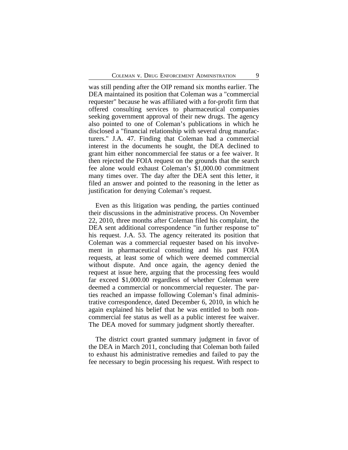was still pending after the OIP remand six months earlier. The DEA maintained its position that Coleman was a "commercial requester" because he was affiliated with a for-profit firm that offered consulting services to pharmaceutical companies seeking government approval of their new drugs. The agency also pointed to one of Coleman's publications in which he disclosed a "financial relationship with several drug manufacturers." J.A. 47. Finding that Coleman had a commercial interest in the documents he sought, the DEA declined to grant him either noncommercial fee status or a fee waiver. It then rejected the FOIA request on the grounds that the search fee alone would exhaust Coleman's \$1,000.00 commitment many times over. The day after the DEA sent this letter, it filed an answer and pointed to the reasoning in the letter as justification for denying Coleman's request.

Even as this litigation was pending, the parties continued their discussions in the administrative process. On November 22, 2010, three months after Coleman filed his complaint, the DEA sent additional correspondence "in further response to" his request. J.A. 53. The agency reiterated its position that Coleman was a commercial requester based on his involvement in pharmaceutical consulting and his past FOIA requests, at least some of which were deemed commercial without dispute. And once again, the agency denied the request at issue here, arguing that the processing fees would far exceed \$1,000.00 regardless of whether Coleman were deemed a commercial or noncommercial requester. The parties reached an impasse following Coleman's final administrative correspondence, dated December 6, 2010, in which he again explained his belief that he was entitled to both noncommercial fee status as well as a public interest fee waiver. The DEA moved for summary judgment shortly thereafter.

The district court granted summary judgment in favor of the DEA in March 2011, concluding that Coleman both failed to exhaust his administrative remedies and failed to pay the fee necessary to begin processing his request. With respect to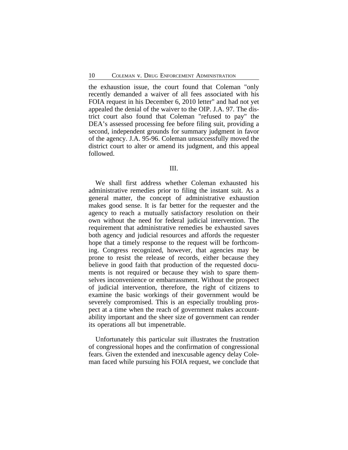the exhaustion issue, the court found that Coleman "only recently demanded a waiver of all fees associated with his FOIA request in his December 6, 2010 letter" and had not yet appealed the denial of the waiver to the OIP. J.A. 97. The district court also found that Coleman "refused to pay" the DEA's assessed processing fee before filing suit, providing a second, independent grounds for summary judgment in favor of the agency. J.A. 95-96. Coleman unsuccessfully moved the district court to alter or amend its judgment, and this appeal followed.

## III.

We shall first address whether Coleman exhausted his administrative remedies prior to filing the instant suit. As a general matter, the concept of administrative exhaustion makes good sense. It is far better for the requester and the agency to reach a mutually satisfactory resolution on their own without the need for federal judicial intervention. The requirement that administrative remedies be exhausted saves both agency and judicial resources and affords the requester hope that a timely response to the request will be forthcoming. Congress recognized, however, that agencies may be prone to resist the release of records, either because they believe in good faith that production of the requested documents is not required or because they wish to spare themselves inconvenience or embarrassment. Without the prospect of judicial intervention, therefore, the right of citizens to examine the basic workings of their government would be severely compromised. This is an especially troubling prospect at a time when the reach of government makes accountability important and the sheer size of government can render its operations all but impenetrable.

Unfortunately this particular suit illustrates the frustration of congressional hopes and the confirmation of congressional fears. Given the extended and inexcusable agency delay Coleman faced while pursuing his FOIA request, we conclude that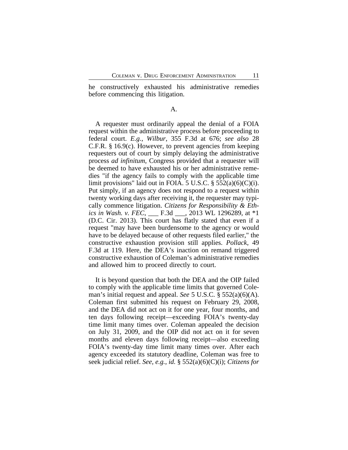he constructively exhausted his administrative remedies before commencing this litigation.

## A.

A requester must ordinarily appeal the denial of a FOIA request within the administrative process before proceeding to federal court. *E.g.*, *Wilbur*, 355 F.3d at 676; *see also* 28 C.F.R. § 16.9(c). However, to prevent agencies from keeping requesters out of court by simply delaying the administrative process *ad infinitum*, Congress provided that a requester will be deemed to have exhausted his or her administrative remedies "if the agency fails to comply with the applicable time limit provisions" laid out in FOIA. 5 U.S.C.  $\S$  552(a)(6)(C)(i). Put simply, if an agency does not respond to a request within twenty working days after receiving it, the requester may typically commence litigation. *Citizens for Responsibility & Ethics in Wash. v. FEC*, \_\_\_ F.3d \_\_\_, 2013 WL 1296289, at \*1 (D.C. Cir. 2013). This court has flatly stated that even if a request "may have been burdensome to the agency or would have to be delayed because of other requests filed earlier," the constructive exhaustion provision still applies. *Pollack*, 49 F.3d at 119. Here, the DEA's inaction on remand triggered constructive exhaustion of Coleman's administrative remedies and allowed him to proceed directly to court.

It is beyond question that both the DEA and the OIP failed to comply with the applicable time limits that governed Coleman's initial request and appeal. *See* 5 U.S.C. § 552(a)(6)(A). Coleman first submitted his request on February 29, 2008, and the DEA did not act on it for one year, four months, and ten days following receipt—exceeding FOIA's twenty-day time limit many times over. Coleman appealed the decision on July 31, 2009, and the OIP did not act on it for seven months and eleven days following receipt—also exceeding FOIA's twenty-day time limit many times over. After each agency exceeded its statutory deadline, Coleman was free to seek judicial relief. *See, e.g.*, *id.* § 552(a)(6)(C)(i); *Citizens for*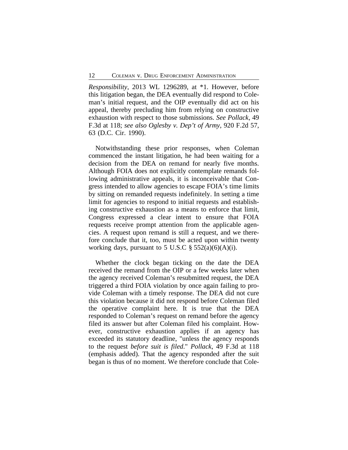*Responsibility*, 2013 WL 1296289, at \*1. However, before this litigation began, the DEA eventually did respond to Coleman's initial request, and the OIP eventually did act on his appeal, thereby precluding him from relying on constructive exhaustion with respect to those submissions. *See Pollack*, 49 F.3d at 118; *see also Oglesby v. Dep't of Army*, 920 F.2d 57, 63 (D.C. Cir. 1990).

Notwithstanding these prior responses, when Coleman commenced the instant litigation, he had been waiting for a decision from the DEA on remand for nearly five months. Although FOIA does not explicitly contemplate remands following administrative appeals, it is inconceivable that Congress intended to allow agencies to escape FOIA's time limits by sitting on remanded requests indefinitely. In setting a time limit for agencies to respond to initial requests and establishing constructive exhaustion as a means to enforce that limit, Congress expressed a clear intent to ensure that FOIA requests receive prompt attention from the applicable agencies. A request upon remand is still a request, and we therefore conclude that it, too, must be acted upon within twenty working days, pursuant to 5 U.S.C  $\S$  552(a)(6)(A)(i).

Whether the clock began ticking on the date the DEA received the remand from the OIP or a few weeks later when the agency received Coleman's resubmitted request, the DEA triggered a third FOIA violation by once again failing to provide Coleman with a timely response. The DEA did not cure this violation because it did not respond before Coleman filed the operative complaint here. It is true that the DEA responded to Coleman's request on remand before the agency filed its answer but after Coleman filed his complaint. However, constructive exhaustion applies if an agency has exceeded its statutory deadline, "unless the agency responds to the request *before suit is filed*." *Pollack*, 49 F.3d at 118 (emphasis added). That the agency responded after the suit began is thus of no moment. We therefore conclude that Cole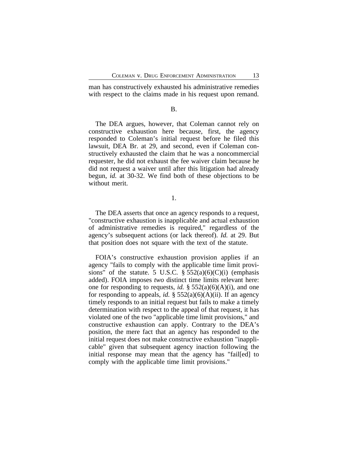man has constructively exhausted his administrative remedies with respect to the claims made in his request upon remand.

## B.

The DEA argues, however, that Coleman cannot rely on constructive exhaustion here because, first, the agency responded to Coleman's initial request before he filed this lawsuit, DEA Br. at 29, and second, even if Coleman constructively exhausted the claim that he was a noncommercial requester, he did not exhaust the fee waiver claim because he did not request a waiver until after this litigation had already begun, *id.* at 30-32. We find both of these objections to be without merit.

1.

The DEA asserts that once an agency responds to a request, "constructive exhaustion is inapplicable and actual exhaustion of administrative remedies is required," regardless of the agency's subsequent actions (or lack thereof). *Id.* at 29. But that position does not square with the text of the statute.

FOIA's constructive exhaustion provision applies if an agency "fails to comply with the applicable time limit provisions" of the statute. 5 U.S.C.  $\S$  552(a)(6)(C)(i) (emphasis added). FOIA imposes *two* distinct time limits relevant here: one for responding to requests, *id.*  $\S$  552(a)(6)(A)(i), and one for responding to appeals, *id.*  $\S$  552(a)(6)(A)(ii). If an agency timely responds to an initial request but fails to make a timely determination with respect to the appeal of that request, it has violated one of the two "applicable time limit provisions," and constructive exhaustion can apply. Contrary to the DEA's position, the mere fact that an agency has responded to the initial request does not make constructive exhaustion "inapplicable" given that subsequent agency inaction following the initial response may mean that the agency has "fail[ed] to comply with the applicable time limit provisions."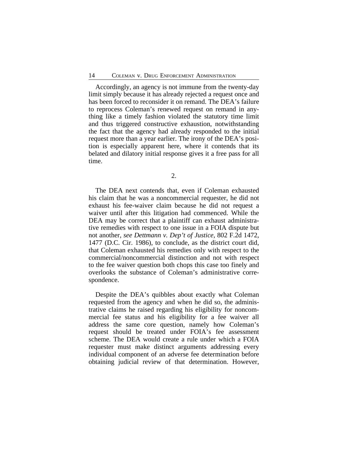Accordingly, an agency is not immune from the twenty-day limit simply because it has already rejected a request once and has been forced to reconsider it on remand. The DEA's failure to reprocess Coleman's renewed request on remand in anything like a timely fashion violated the statutory time limit and thus triggered constructive exhaustion, notwithstanding the fact that the agency had already responded to the initial request more than a year earlier. The irony of the DEA's position is especially apparent here, where it contends that its belated and dilatory initial response gives it a free pass for all time.

2.

The DEA next contends that, even if Coleman exhausted his claim that he was a noncommercial requester, he did not exhaust his fee-waiver claim because he did not request a waiver until after this litigation had commenced. While the DEA may be correct that a plaintiff can exhaust administrative remedies with respect to one issue in a FOIA dispute but not another, *see Dettmann v. Dep't of Justice*, 802 F.2d 1472, 1477 (D.C. Cir. 1986), to conclude, as the district court did, that Coleman exhausted his remedies only with respect to the commercial/noncommercial distinction and not with respect to the fee waiver question both chops this case too finely and overlooks the substance of Coleman's administrative correspondence.

Despite the DEA's quibbles about exactly what Coleman requested from the agency and when he did so, the administrative claims he raised regarding his eligibility for noncommercial fee status and his eligibility for a fee waiver all address the same core question, namely how Coleman's request should be treated under FOIA's fee assessment scheme. The DEA would create a rule under which a FOIA requester must make distinct arguments addressing every individual component of an adverse fee determination before obtaining judicial review of that determination. However,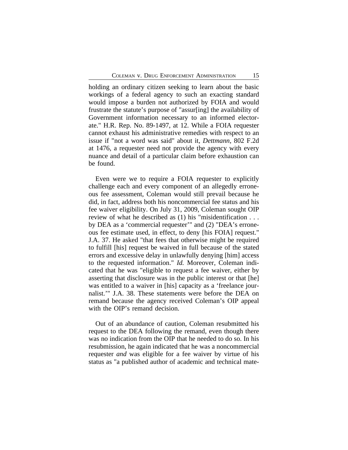holding an ordinary citizen seeking to learn about the basic workings of a federal agency to such an exacting standard would impose a burden not authorized by FOIA and would frustrate the statute's purpose of "assur[ing] the availability of Government information necessary to an informed electorate." H.R. Rep. No. 89-1497, at 12. While a FOIA requester cannot exhaust his administrative remedies with respect to an issue if "not a word was said" about it, *Dettmann*, 802 F.2d at 1476, a requester need not provide the agency with every nuance and detail of a particular claim before exhaustion can be found.

Even were we to require a FOIA requester to explicitly challenge each and every component of an allegedly erroneous fee assessment, Coleman would still prevail because he did, in fact, address both his noncommercial fee status and his fee waiver eligibility. On July 31, 2009, Coleman sought OIP review of what he described as (1) his "misidentification . . . by DEA as a 'commercial requester'" and (2) "DEA's erroneous fee estimate used, in effect, to deny [his FOIA] request." J.A. 37. He asked "that fees that otherwise might be required to fulfill [his] request be waived in full because of the stated errors and excessive delay in unlawfully denying [him] access to the requested information." *Id.* Moreover, Coleman indicated that he was "eligible to request a fee waiver, either by asserting that disclosure was in the public interest or that [he] was entitled to a waiver in [his] capacity as a 'freelance journalist.'" J.A. 38. These statements were before the DEA on remand because the agency received Coleman's OIP appeal with the OIP's remand decision.

Out of an abundance of caution, Coleman resubmitted his request to the DEA following the remand, even though there was no indication from the OIP that he needed to do so. In his resubmission, he again indicated that he was a noncommercial requester *and* was eligible for a fee waiver by virtue of his status as "a published author of academic and technical mate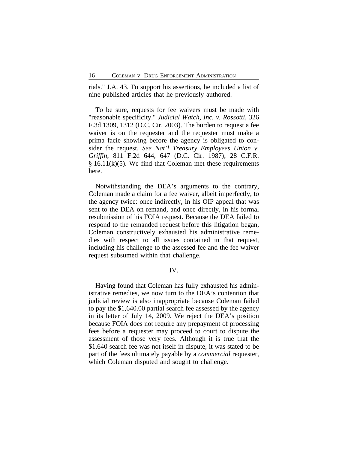rials." J.A. 43. To support his assertions, he included a list of nine published articles that he previously authored.

To be sure, requests for fee waivers must be made with "reasonable specificity." *Judicial Watch, Inc. v. Rossotti*, 326 F.3d 1309, 1312 (D.C. Cir. 2003). The burden to request a fee waiver is on the requester and the requester must make a prima facie showing before the agency is obligated to consider the request. *See Nat'l Treasury Employees Union v. Griffin*, 811 F.2d 644, 647 (D.C. Cir. 1987); 28 C.F.R.  $§$  16.11(k)(5). We find that Coleman met these requirements here.

Notwithstanding the DEA's arguments to the contrary, Coleman made a claim for a fee waiver, albeit imperfectly, to the agency twice: once indirectly, in his OIP appeal that was sent to the DEA on remand, and once directly, in his formal resubmission of his FOIA request. Because the DEA failed to respond to the remanded request before this litigation began, Coleman constructively exhausted his administrative remedies with respect to all issues contained in that request, including his challenge to the assessed fee and the fee waiver request subsumed within that challenge.

## IV.

Having found that Coleman has fully exhausted his administrative remedies, we now turn to the DEA's contention that judicial review is also inappropriate because Coleman failed to pay the \$1,640.00 partial search fee assessed by the agency in its letter of July 14, 2009. We reject the DEA's position because FOIA does not require any prepayment of processing fees before a requester may proceed to court to dispute the assessment of those very fees. Although it is true that the \$1,640 search fee was not itself in dispute, it was stated to be part of the fees ultimately payable by a *commercial* requester, which Coleman disputed and sought to challenge.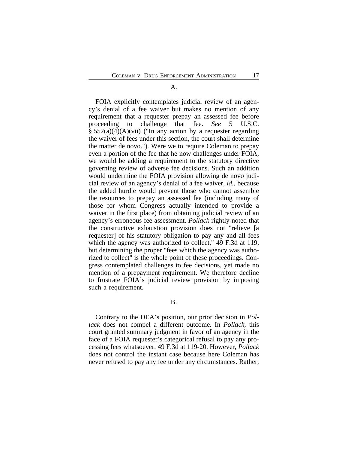### A.

FOIA explicitly contemplates judicial review of an agency's denial of a fee waiver but makes no mention of any requirement that a requester prepay an assessed fee before proceeding to challenge that fee. *See* 5 U.S.C.  $§$  552(a)(4)(A)(vii) ("In any action by a requester regarding the waiver of fees under this section, the court shall determine the matter de novo."). Were we to require Coleman to prepay even a portion of the fee that he now challenges under FOIA, we would be adding a requirement to the statutory directive governing review of adverse fee decisions. Such an addition would undermine the FOIA provision allowing de novo judicial review of an agency's denial of a fee waiver, *id.*, because the added hurdle would prevent those who cannot assemble the resources to prepay an assessed fee (including many of those for whom Congress actually intended to provide a waiver in the first place) from obtaining judicial review of an agency's erroneous fee assessment. *Pollack* rightly noted that the constructive exhaustion provision does not "relieve [a requester] of his statutory obligation to pay any and all fees which the agency was authorized to collect," 49 F.3d at 119, but determining the proper "fees which the agency was authorized to collect" is the whole point of these proceedings. Congress contemplated challenges to fee decisions, yet made no mention of a prepayment requirement. We therefore decline to frustrate FOIA's judicial review provision by imposing such a requirement.

## B.

Contrary to the DEA's position, our prior decision in *Pollack* does not compel a different outcome. In *Pollack*, this court granted summary judgment in favor of an agency in the face of a FOIA requester's categorical refusal to pay any processing fees whatsoever. 49 F.3d at 119-20. However, *Pollack* does not control the instant case because here Coleman has never refused to pay any fee under any circumstances. Rather,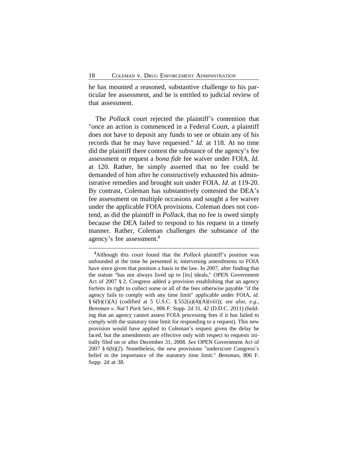he has mounted a reasoned, substantive challenge to his particular fee assessment, and he is entitled to judicial review of that assessment.

The *Pollack* court rejected the plaintiff's contention that "once an action is commenced in a Federal Court, a plaintiff does not have to deposit any funds to see or obtain any of his records that he may have requested." *Id.* at 118. At no time did the plaintiff there contest the substance of the agency's fee assessment or request a *bona fide* fee waiver under FOIA. *Id.* at 120. Rather, he simply asserted that no fee could be demanded of him after he constructively exhausted his administrative remedies and brought suit under FOIA. *Id.* at 119-20. By contrast, Coleman has substantively contested the DEA's fee assessment on multiple occasions and sought a fee waiver under the applicable FOIA provisions. Coleman does not contend, as did the plaintiff in *Pollack*, that no fee is owed simply because the DEA failed to respond to his request in a timely manner. Rather, Coleman challenges the substance of the agency's fee assessment.**<sup>2</sup>**

**<sup>2</sup>**Although this court found that the *Pollack* plaintiff's position was unfounded at the time he presented it, intervening amendments to FOIA have since given that position a basis in the law. In 2007, after finding that the statute "has not always lived up to [its] ideals," OPEN Government Act of 2007 § 2, Congress added a provision establishing that an agency forfeits its right to collect some or all of the fees otherwise payable "if the agency fails to comply with any time limit" applicable under FOIA, *id.* § 6(b)(1)(A) (codified at 5 U.S.C. § 552(a)(4)(A)(viii)); *see also, e.g.*, *Bensman v. Nat'l Park Serv.*, 806 F. Supp. 2d 31, 42 (D.D.C. 2011) (holding that an agency cannot assess FOIA processing fees if it has failed to comply with the statutory time limit for responding to a request). This new provision would have applied to Coleman's request given the delay he faced, but the amendments are effective only with respect to requests initially filed on or after December 31, 2008. *See* OPEN Government Act of 2007 § 6(b)(2). Nonetheless, the new provisions "underscore Congress's belief in the importance of the statutory time limit." *Bensman*, 806 F. Supp. 2d at 38.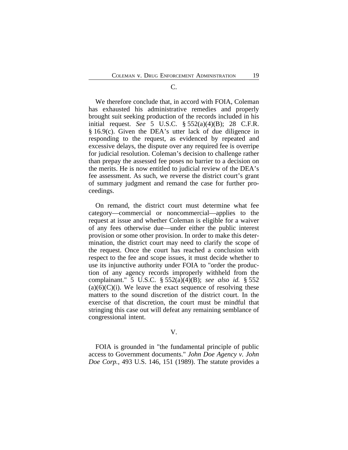#### C.

We therefore conclude that, in accord with FOIA, Coleman has exhausted his administrative remedies and properly brought suit seeking production of the records included in his initial request. *See* 5 U.S.C. § 552(a)(4)(B); 28 C.F.R. § 16.9(c). Given the DEA's utter lack of due diligence in responding to the request, as evidenced by repeated and excessive delays, the dispute over any required fee is overripe for judicial resolution. Coleman's decision to challenge rather than prepay the assessed fee poses no barrier to a decision on the merits. He is now entitled to judicial review of the DEA's fee assessment. As such, we reverse the district court's grant of summary judgment and remand the case for further proceedings.

On remand, the district court must determine what fee category—commercial or noncommercial—applies to the request at issue and whether Coleman is eligible for a waiver of any fees otherwise due—under either the public interest provision or some other provision. In order to make this determination, the district court may need to clarify the scope of the request. Once the court has reached a conclusion with respect to the fee and scope issues, it must decide whether to use its injunctive authority under FOIA to "order the production of any agency records improperly withheld from the complainant." 5 U.S.C. § 552(a)(4)(B); *see also id.* § 552  $(a)(6)(C)(i)$ . We leave the exact sequence of resolving these matters to the sound discretion of the district court. In the exercise of that discretion, the court must be mindful that stringing this case out will defeat any remaining semblance of congressional intent.

### V.

FOIA is grounded in "the fundamental principle of public access to Government documents." *John Doe Agency v. John Doe Corp.*, 493 U.S. 146, 151 (1989). The statute provides a